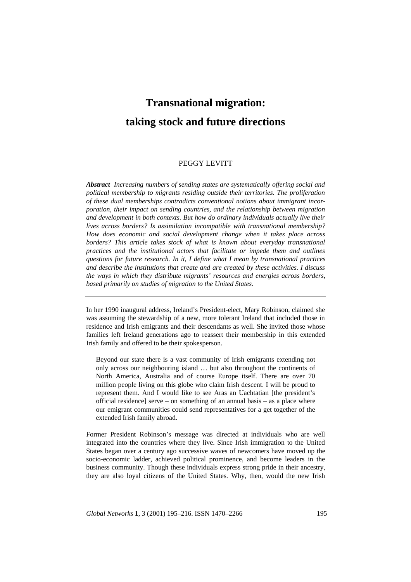# **Transnational migration: taking stock and future directions**

# PEGGY LEVITT

*Abstract Increasing numbers of sending states are systematically offering social and political membership to migrants residing outside their territories. The proliferation of these dual memberships contradicts conventional notions about immigrant incorporation, their impact on sending countries, and the relationship between migration and development in both contexts. But how do ordinary individuals actually live their lives across borders? Is assimilation incompatible with transnational membership? How does economic and social development change when it takes place across borders? This article takes stock of what is known about everyday transnational practices and the institutional actors that facilitate or impede them and outlines questions for future research. In it, I define what I mean by transnational practices and describe the institutions that create and are created by these activities. I discuss the ways in which they distribute migrants' resources and energies across borders, based primarily on studies of migration to the United States.* 

In her 1990 inaugural address, Ireland's President-elect, Mary Robinson, claimed she was assuming the stewardship of a new, more tolerant Ireland that included those in residence and Irish emigrants and their descendants as well. She invited those whose families left Ireland generations ago to reassert their membership in this extended Irish family and offered to be their spokesperson.

Beyond our state there is a vast community of Irish emigrants extending not only across our neighbouring island … but also throughout the continents of North America, Australia and of course Europe itself. There are over 70 million people living on this globe who claim Irish descent. I will be proud to represent them. And I would like to see Aras an Uachtatian [the president's official residence] serve – on something of an annual basis – as a place where our emigrant communities could send representatives for a get together of the extended Irish family abroad.

Former President Robinson's message was directed at individuals who are well integrated into the countries where they live. Since Irish immigration to the United States began over a century ago successive waves of newcomers have moved up the socio-economic ladder, achieved political prominence, and become leaders in the business community. Though these individuals express strong pride in their ancestry, they are also loyal citizens of the United States. Why, then, would the new Irish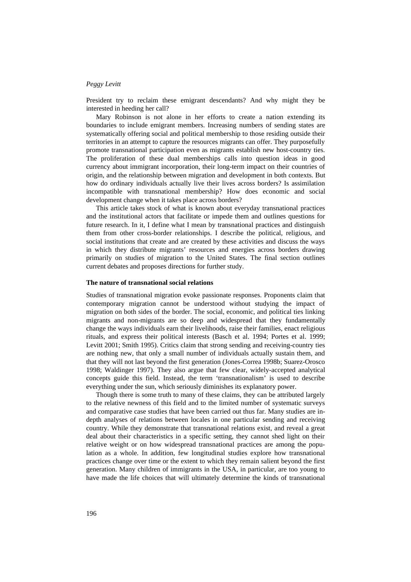President try to reclaim these emigrant descendants? And why might they be interested in heeding her call?

Mary Robinson is not alone in her efforts to create a nation extending its boundaries to include emigrant members. Increasing numbers of sending states are systematically offering social and political membership to those residing outside their territories in an attempt to capture the resources migrants can offer. They purposefully promote transnational participation even as migrants establish new host-country ties. The proliferation of these dual memberships calls into question ideas in good currency about immigrant incorporation, their long-term impact on their countries of origin, and the relationship between migration and development in both contexts. But how do ordinary individuals actually live their lives across borders? Is assimilation incompatible with transnational membership? How does economic and social development change when it takes place across borders?

This article takes stock of what is known about everyday transnational practices and the institutional actors that facilitate or impede them and outlines questions for future research. In it, I define what I mean by transnational practices and distinguish them from other cross-border relationships. I describe the political, religious, and social institutions that create and are created by these activities and discuss the ways in which they distribute migrants' resources and energies across borders drawing primarily on studies of migration to the United States. The final section outlines current debates and proposes directions for further study.

# **The nature of transnational social relations**

Studies of transnational migration evoke passionate responses. Proponents claim that contemporary migration cannot be understood without studying the impact of migration on both sides of the border. The social, economic, and political ties linking migrants and non-migrants are so deep and widespread that they fundamentally change the ways individuals earn their livelihoods, raise their families, enact religious rituals, and express their political interests (Basch et al. 1994; Portes et al. 1999; Levitt 2001; Smith 1995). Critics claim that strong sending and receiving-country ties are nothing new, that only a small number of individuals actually sustain them, and that they will not last beyond the first generation (Jones-Correa 1998b; Suarez-Orosco 1998; Waldinger 1997). They also argue that few clear, widely-accepted analytical concepts guide this field. Instead, the term 'transnationalism' is used to describe everything under the sun, which seriously diminishes its explanatory power.

Though there is some truth to many of these claims, they can be attributed largely to the relative newness of this field and to the limited number of systematic surveys and comparative case studies that have been carried out thus far. Many studies are indepth analyses of relations between locales in one particular sending and receiving country. While they demonstrate that transnational relations exist, and reveal a great deal about their characteristics in a specific setting, they cannot shed light on their relative weight or on how widespread transnational practices are among the population as a whole. In addition, few longitudinal studies explore how transnational practices change over time or the extent to which they remain salient beyond the first generation. Many children of immigrants in the USA, in particular, are too young to have made the life choices that will ultimately determine the kinds of transnational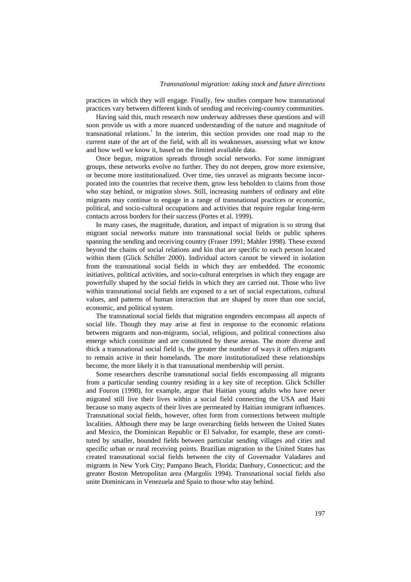practices in which they will engage. Finally, few studies compare how transnational practices vary between different kinds of sending and receiving-country communities.

Having said this, much research now underway addresses these questions and will soon provide us with a more nuanced understanding of the nature and magnitude of transnational relations.<sup>1</sup> In the interim, this section provides one road map to the current state of the art of the field, with all its weaknesses, assessing what we know and how well we know it, based on the limited available data.

Once begun, migration spreads through social networks. For some immigrant groups, these networks evolve no further. They do not deepen, grow more extensive, or become more institutionalized. Over time, ties unravel as migrants become incorporated into the countries that receive them, grow less beholden to claims from those who stay behind, or migration slows. Still, increasing numbers of ordinary and elite migrants may continue to engage in a range of transnational practices or economic, political, and socio-cultural occupations and activities that require regular long-term contacts across borders for their success (Portes et al. 1999).

In many cases, the magnitude, duration, and impact of migration is so strong that migrant social networks mature into transnational social fields or public spheres spanning the sending and receiving country (Fraser 1991; Mahler 1998). These extend beyond the chains of social relations and kin that are specific to each person located within them (Glick Schiller 2000). Individual actors cannot be viewed in isolation from the transnational social fields in which they are embedded. The economic initiatives, political activities, and socio-cultural enterprises in which they engage are powerfully shaped by the social fields in which they are carried out. Those who live within transnational social fields are exposed to a set of social expectations, cultural values, and patterns of human interaction that are shaped by more than one social, economic, and political system.

The transnational social fields that migration engenders encompass all aspects of social life. Though they may arise at first in response to the economic relations between migrants and non-migrants, social, religious, and political connections also emerge which constitute and are constituted by these arenas. The more diverse and thick a transnational social field is, the greater the number of ways it offers migrants to remain active in their homelands. The more institutionalized these relationships become, the more likely it is that transnational membership will persist.

Some researchers describe transnational social fields encompassing all migrants from a particular sending country residing in a key site of reception. Glick Schiller and Fouron (1998), for example, argue that Haitian young adults who have never migrated still live their lives within a social field connecting the USA and Haiti because so many aspects of their lives are permeated by Haitian immigrant influences. Transnational social fields, however, often form from connections between multiple localities. Although there may be large overarching fields between the United States and Mexico, the Dominican Republic or El Salvador, for example, these are constituted by smaller, bounded fields between particular sending villages and cities and specific urban or rural receiving points. Brazilian migration to the United States has created transnational social fields between the city of Governador Valadares and migrants in New York City; Pampano Beach, Florida; Danbury, Connecticut; and the greater Boston Metropolitan area (Margolis 1994). Transnational social fields also unite Dominicans in Venezuela and Spain to those who stay behind.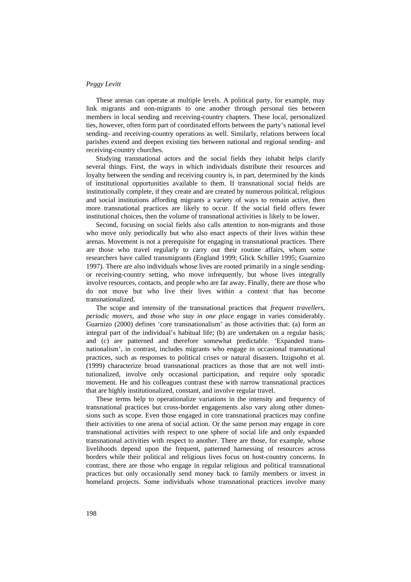These arenas can operate at multiple levels. A political party, for example, may link migrants and non-migrants to one another through personal ties between members in local sending and receiving-country chapters. These local, personalized ties, however, often form part of coordinated efforts between the party's national level sending- and receiving-country operations as well. Similarly, relations between local parishes extend and deepen existing ties between national and regional sending- and receiving-country churches.

Studying transnational actors and the social fields they inhabit helps clarify several things. First, the ways in which individuals distribute their resources and loyalty between the sending and receiving country is, in part, determined by the kinds of institutional opportunities available to them. If transnational social fields are institutionally complete, if they create and are created by numerous political, religious and social institutions affording migrants a variety of ways to remain active, then more transnational practices are likely to occur. If the social field offers fewer institutional choices, then the volume of transnational activities is likely to be lower.

Second, focusing on social fields also calls attention to non-migrants and those who move only periodically but who also enact aspects of their lives within these arenas. Movement is not a prerequisite for engaging in transnational practices. There are those who travel regularly to carry out their routine affairs, whom some researchers have called transmigrants (England 1999; Glick Schiller 1995; Guarnizo 1997). There are also individuals whose lives are rooted primarily in a single sendingor receiving-country setting, who move infrequently, but whose lives integrally involve resources, contacts, and people who are far away. Finally, there are those who do not move but who live their lives within a context that has become transnationalized.

The scope and intensity of the transnational practices that *frequent travellers*, *periodic movers*, and *those who stay in one place* engage in varies considerably. Guarnizo (2000) defines 'core transnationalism' as those activities that: (a) form an integral part of the individual's habitual life; (b) are undertaken on a regular basis; and (c) are patterned and therefore somewhat predictable. 'Expanded transnationalism', in contrast, includes migrants who engage in occasional transnational practices, such as responses to political crises or natural disasters. Itzigsohn et al. (1999) characterize broad transnational practices as those that are not well institutionalized, involve only occasional participation, and require only sporadic movement. He and his colleagues contrast these with narrow transnational practices that are highly institutionalized, constant, and involve regular travel.

These terms help to operationalize variations in the intensity and frequency of transnational practices but cross-border engagements also vary along other dimensions such as scope. Even those engaged in core transnational practices may confine their activities to one arena of social action. Or the same person may engage in core transnational activities with respect to one sphere of social life and only expanded transnational activities with respect to another. There are those, for example, whose livelihoods depend upon the frequent, patterned harnessing of resources across borders while their political and religious lives focus on host-country concerns. In contrast, there are those who engage in regular religious and political transnational practices but only occasionally send money back to family members or invest in homeland projects. Some individuals whose transnational practices involve many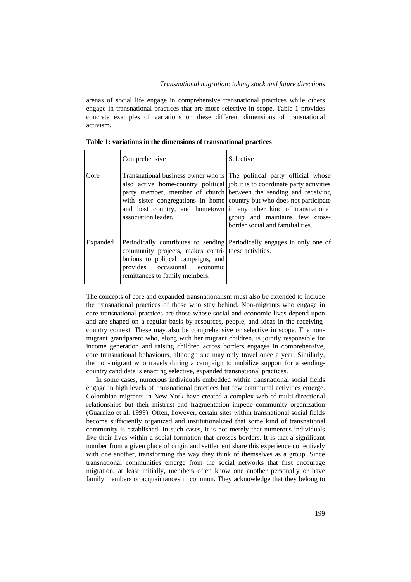# *Transnational migration: taking stock and future directions*

arenas of social life engage in comprehensive transnational practices while others engage in transnational practices that are more selective in scope. Table 1 provides concrete examples of variations on these different dimensions of transnational activism.

|          | Comprehensive                                                                                                                                                | Selective                                                                                                                                                                                                                                                                                                                                                                                                                                      |
|----------|--------------------------------------------------------------------------------------------------------------------------------------------------------------|------------------------------------------------------------------------------------------------------------------------------------------------------------------------------------------------------------------------------------------------------------------------------------------------------------------------------------------------------------------------------------------------------------------------------------------------|
| Core     | association leader.                                                                                                                                          | Transnational business owner who is The political party official whose<br>also active home-country political job it is to coordinate party activities<br>party member, member of church between the sending and receiving<br>with sister congregations in home country but who does not participate<br>and host country, and hometown in any other kind of transnational<br>group and maintains few cross-<br>border social and familial ties. |
| Expanded | community projects, makes contri- these activities.<br>butions to political campaigns, and<br>provides occasional economic<br>remittances to family members. | Periodically contributes to sending Periodically engages in only one of                                                                                                                                                                                                                                                                                                                                                                        |

**Table 1: variations in the dimensions of transnational practices** 

The concepts of core and expanded transnationalism must also be extended to include the transnational practices of those who stay behind. Non-migrants who engage in core transnational practices are those whose social and economic lives depend upon and are shaped on a regular basis by resources, people, and ideas in the receivingcountry context. These may also be comprehensive or selective in scope. The nonmigrant grandparent who, along with her migrant children, is jointly responsible for income generation and raising children across borders engages in comprehensive, core transnational behaviours, although she may only travel once a year. Similarly, the non-migrant who travels during a campaign to mobilize support for a sendingcountry candidate is enacting selective, expanded transnational practices.

In some cases, numerous individuals embedded within transnational social fields engage in high levels of transnational practices but few communal activities emerge. Colombian migrants in New York have created a complex web of multi-directional relationships but their mistrust and fragmentation impede community organization (Guarnizo et al. 1999). Often, however, certain sites within transnational social fields become sufficiently organized and institutionalized that some kind of transnational community is established. In such cases, it is not merely that numerous individuals live their lives within a social formation that crosses borders. It is that a significant number from a given place of origin and settlement share this experience collectively with one another, transforming the way they think of themselves as a group. Since transnational communities emerge from the social networks that first encourage migration, at least initially, members often know one another personally or have family members or acquaintances in common. They acknowledge that they belong to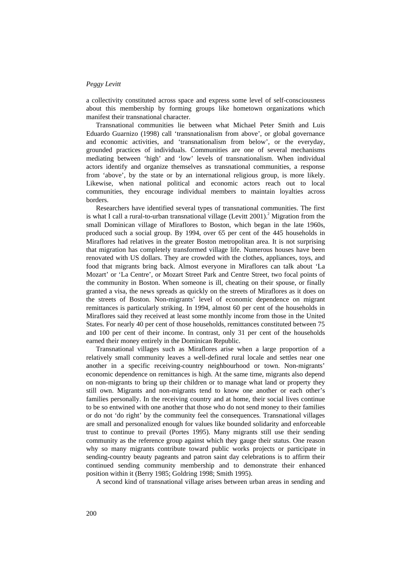a collectivity constituted across space and express some level of self-consciousness about this membership by forming groups like hometown organizations which manifest their transnational character.

Transnational communities lie between what Michael Peter Smith and Luis Eduardo Guarnizo (1998) call 'transnationalism from above', or global governance and economic activities, and 'transnationalism from below', or the everyday, grounded practices of individuals. Communities are one of several mechanisms mediating between 'high' and 'low' levels of transnationalism. When individual actors identify and organize themselves as transnational communities, a response from 'above', by the state or by an international religious group, is more likely. Likewise, when national political and economic actors reach out to local communities, they encourage individual members to maintain loyalties across borders.

Researchers have identified several types of transnational communities. The first is what I call a rural-to-urban transnational village (Levitt  $2001$ ).<sup>2</sup> Migration from the small Dominican village of Miraflores to Boston, which began in the late 1960s, produced such a social group. By 1994, over 65 per cent of the 445 households in Miraflores had relatives in the greater Boston metropolitan area. It is not surprising that migration has completely transformed village life. Numerous houses have been renovated with US dollars. They are crowded with the clothes, appliances, toys, and food that migrants bring back. Almost everyone in Miraflores can talk about 'La Mozart' or 'La Centre', or Mozart Street Park and Centre Street, two focal points of the community in Boston. When someone is ill, cheating on their spouse, or finally granted a visa, the news spreads as quickly on the streets of Miraflores as it does on the streets of Boston. Non-migrants' level of economic dependence on migrant remittances is particularly striking. In 1994, almost 60 per cent of the households in Miraflores said they received at least some monthly income from those in the United States. For nearly 40 per cent of those households, remittances constituted between 75 and 100 per cent of their income. In contrast, only 31 per cent of the households earned their money entirely in the Dominican Republic.

Transnational villages such as Miraflores arise when a large proportion of a relatively small community leaves a well-defined rural locale and settles near one another in a specific receiving-country neighbourhood or town. Non-migrants' economic dependence on remittances is high. At the same time, migrants also depend on non-migrants to bring up their children or to manage what land or property they still own. Migrants and non-migrants tend to know one another or each other's families personally. In the receiving country and at home, their social lives continue to be so entwined with one another that those who do not send money to their families or do not 'do right' by the community feel the consequences. Transnational villages are small and personalized enough for values like bounded solidarity and enforceable trust to continue to prevail (Portes 1995). Many migrants still use their sending community as the reference group against which they gauge their status. One reason why so many migrants contribute toward public works projects or participate in sending-country beauty pageants and patron saint day celebrations is to affirm their continued sending community membership and to demonstrate their enhanced position within it (Berry 1985; Goldring 1998; Smith 1995).

A second kind of transnational village arises between urban areas in sending and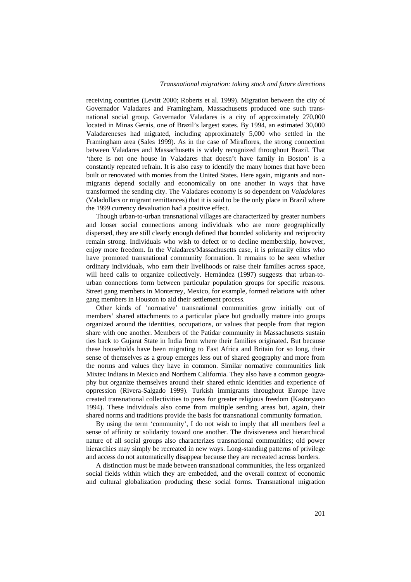receiving countries (Levitt 2000; Roberts et al. 1999). Migration between the city of Governador Valadares and Framingham, Massachusetts produced one such transnational social group. Governador Valadares is a city of approximately 270,000 located in Minas Gerais, one of Brazil's largest states. By 1994, an estimated 30,000 Valadareneses had migrated, including approximately 5,000 who settled in the Framingham area (Sales 1999). As in the case of Miraflores, the strong connection between Valadares and Massachusetts is widely recognized throughout Brazil. That 'there is not one house in Valadares that doesn't have family in Boston' is a constantly repeated refrain. It is also easy to identify the many homes that have been built or renovated with monies from the United States. Here again, migrants and nonmigrants depend socially and economically on one another in ways that have transformed the sending city. The Valadares economy is so dependent on *Valadolares*  (Valadollars or migrant remittances) that it is said to be the only place in Brazil where the 1999 currency devaluation had a positive effect.

Though urban-to-urban transnational villages are characterized by greater numbers and looser social connections among individuals who are more geographically dispersed, they are still clearly enough defined that bounded solidarity and reciprocity remain strong. Individuals who wish to defect or to decline membership, however, enjoy more freedom. In the Valadares/Massachusetts case, it is primarily elites who have promoted transnational community formation. It remains to be seen whether ordinary individuals, who earn their livelihoods or raise their families across space, will heed calls to organize collectively. Hernández (1997) suggests that urban-tourban connections form between particular population groups for specific reasons. Street gang members in Monterrey, Mexico, for example, formed relations with other gang members in Houston to aid their settlement process.

Other kinds of 'normative' transnational communities grow initially out of members' shared attachments to a particular place but gradually mature into groups organized around the identities, occupations, or values that people from that region share with one another. Members of the Patidar community in Massachusetts sustain ties back to Gujarat State in India from where their families originated. But because these households have been migrating to East Africa and Britain for so long, their sense of themselves as a group emerges less out of shared geography and more from the norms and values they have in common. Similar normative communities link Mixtec Indians in Mexico and Northern California. They also have a common geography but organize themselves around their shared ethnic identities and experience of oppression (Rivera-Salgado 1999). Turkish immigrants throughout Europe have created transnational collectivities to press for greater religious freedom (Kastoryano 1994). These individuals also come from multiple sending areas but, again, their shared norms and traditions provide the basis for transnational community formation.

By using the term 'community', I do not wish to imply that all members feel a sense of affinity or solidarity toward one another. The divisiveness and hierarchical nature of all social groups also characterizes transnational communities; old power hierarchies may simply be recreated in new ways. Long-standing patterns of privilege and access do not automatically disappear because they are recreated across borders.

A distinction must be made between transnational communities, the less organized social fields within which they are embedded, and the overall context of economic and cultural globalization producing these social forms. Transnational migration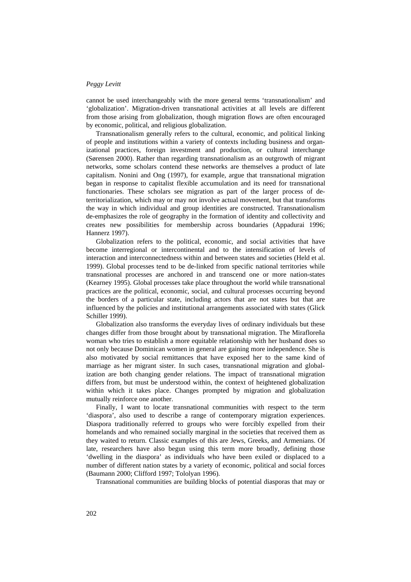cannot be used interchangeably with the more general terms 'transnationalism' and 'globalization'. Migration-driven transnational activities at all levels are different from those arising from globalization, though migration flows are often encouraged by economic, political, and religious globalization.

Transnationalism generally refers to the cultural, economic, and political linking of people and institutions within a variety of contexts including business and organizational practices, foreign investment and production, or cultural interchange (Sørensen 2000). Rather than regarding transnationalism as an outgrowth of migrant networks, some scholars contend these networks are themselves a product of late capitalism. Nonini and Ong (1997), for example, argue that transnational migration began in response to capitalist flexible accumulation and its need for transnational functionaries. These scholars see migration as part of the larger process of deterritorialization, which may or may not involve actual movement, but that transforms the way in which individual and group identities are constructed. Transnationalism de-emphasizes the role of geography in the formation of identity and collectivity and creates new possibilities for membership across boundaries (Appadurai 1996; Hannerz 1997).

Globalization refers to the political, economic, and social activities that have become interregional or intercontinental and to the intensification of levels of interaction and interconnectedness within and between states and societies (Held et al. 1999). Global processes tend to be de-linked from specific national territories while transnational processes are anchored in and transcend one or more nation-states (Kearney 1995). Global processes take place throughout the world while transnational practices are the political, economic, social, and cultural processes occurring beyond the borders of a particular state, including actors that are not states but that are influenced by the policies and institutional arrangements associated with states (Glick Schiller 1999).

Globalization also transforms the everyday lives of ordinary individuals but these changes differ from those brought about by transnational migration. The Mirafloreña woman who tries to establish a more equitable relationship with her husband does so not only because Dominican women in general are gaining more independence. She is also motivated by social remittances that have exposed her to the same kind of marriage as her migrant sister. In such cases, transnational migration and globalization are both changing gender relations. The impact of transnational migration differs from, but must be understood within, the context of heightened globalization within which it takes place. Changes prompted by migration and globalization mutually reinforce one another.

Finally, I want to locate transnational communities with respect to the term 'diaspora', also used to describe a range of contemporary migration experiences. Diaspora traditionally referred to groups who were forcibly expelled from their homelands and who remained socially marginal in the societies that received them as they waited to return. Classic examples of this are Jews, Greeks, and Armenians. Of late, researchers have also begun using this term more broadly, defining those 'dwelling in the diaspora' as individuals who have been exiled or displaced to a number of different nation states by a variety of economic, political and social forces (Baumann 2000; Clifford 1997; Tololyan 1996).

Transnational communities are building blocks of potential diasporas that may or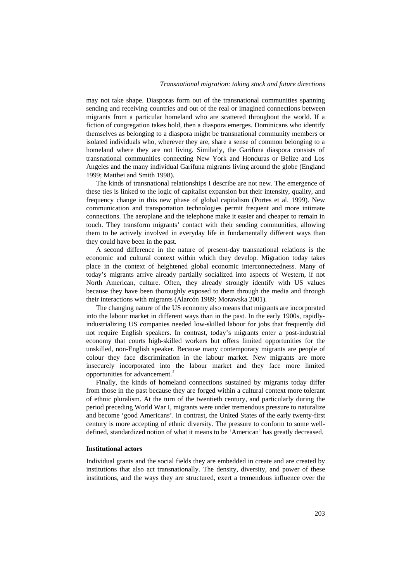may not take shape. Diasporas form out of the transnational communities spanning sending and receiving countries and out of the real or imagined connections between migrants from a particular homeland who are scattered throughout the world. If a fiction of congregation takes hold, then a diaspora emerges. Dominicans who identify themselves as belonging to a diaspora might be transnational community members or isolated individuals who, wherever they are, share a sense of common belonging to a homeland where they are not living. Similarly, the Garifuna diaspora consists of transnational communities connecting New York and Honduras or Belize and Los Angeles and the many individual Garifuna migrants living around the globe (England 1999; Matthei and Smith 1998).

The kinds of transnational relationships I describe are not new. The emergence of these ties is linked to the logic of capitalist expansion but their intensity, quality, and frequency change in this new phase of global capitalism (Portes et al. 1999). New communication and transportation technologies permit frequent and more intimate connections. The aeroplane and the telephone make it easier and cheaper to remain in touch. They transform migrants' contact with their sending communities, allowing them to be actively involved in everyday life in fundamentally different ways than they could have been in the past.

A second difference in the nature of present-day transnational relations is the economic and cultural context within which they develop. Migration today takes place in the context of heightened global economic interconnectedness. Many of today's migrants arrive already partially socialized into aspects of Western, if not North American, culture. Often, they already strongly identify with US values because they have been thoroughly exposed to them through the media and through their interactions with migrants (Alarcón 1989; Morawska 2001).

The changing nature of the US economy also means that migrants are incorporated into the labour market in different ways than in the past. In the early 1900s, rapidlyindustrializing US companies needed low-skilled labour for jobs that frequently did not require English speakers. In contrast, today's migrants enter a post-industrial economy that courts high-skilled workers but offers limited opportunities for the unskilled, non-English speaker. Because many contemporary migrants are people of colour they face discrimination in the labour market. New migrants are more insecurely incorporated into the labour market and they face more limited opportunities for advancement.<sup>3</sup>

Finally, the kinds of homeland connections sustained by migrants today differ from those in the past because they are forged within a cultural context more tolerant of ethnic pluralism. At the turn of the twentieth century, and particularly during the period preceding World War I, migrants were under tremendous pressure to naturalize and become 'good Americans'. In contrast, the United States of the early twenty-first century is more accepting of ethnic diversity. The pressure to conform to some welldefined, standardized notion of what it means to be 'American' has greatly decreased.

# **Institutional actors**

Individual grants and the social fields they are embedded in create and are created by institutions that also act transnationally. The density, diversity, and power of these institutions, and the ways they are structured, exert a tremendous influence over the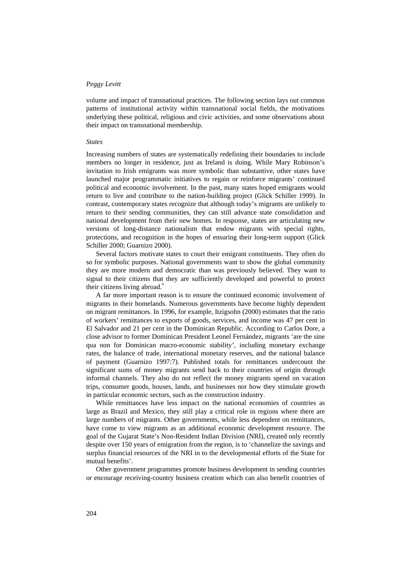volume and impact of transnational practices. The following section lays out common patterns of institutional activity within transnational social fields, the motivations underlying these political, religious and civic activities, and some observations about their impact on transnational membership.

#### *States*

Increasing numbers of states are systematically redefining their boundaries to include members no longer in residence, just as Ireland is doing. While Mary Robinson's invitation to Irish emigrants was more symbolic than substantive, other states have launched major programmatic initiatives to regain or reinforce migrants' continued political and economic involvement. In the past, many states hoped emigrants would return to live and contribute to the nation-building project (Glick Schiller 1999). In contrast, contemporary states recognize that although today's migrants are unlikely to return to their sending communities, they can still advance state consolidation and national development from their new homes. In response, states are articulating new versions of long-distance nationalism that endow migrants with special rights, protections, and recognition in the hopes of ensuring their long-term support (Glick Schiller 2000; Guarnizo 2000).

Several factors motivate states to court their emigrant constituents. They often do so for symbolic purposes. National governments want to show the global community they are more modern and democratic than was previously believed. They want to signal to their citizens that they are sufficiently developed and powerful to protect their citizens living abroad. $4$ 

A far more important reason is to ensure the continued economic involvement of migrants in their homelands. Numerous governments have become highly dependent on migrant remittances. In 1996, for example, Itzigsohn (2000) estimates that the ratio of workers' remittances to exports of goods, services, and income was 47 per cent in El Salvador and 21 per cent in the Dominican Republic. According to Carlos Dore, a close advisor to former Dominican President Leonel Fernández, migrants 'are the sine qua non for Dominican macro-economic stability', including monetary exchange rates, the balance of trade, international monetary reserves, and the national balance of payment (Guarnizo 1997:7). Published totals for remittances undercount the significant sums of money migrants send back to their countries of origin through informal channels. They also do not reflect the money migrants spend on vacation trips, consumer goods, houses, lands, and businesses nor how they stimulate growth in particular economic sectors, such as the construction industry.

While remittances have less impact on the national economies of countries as large as Brazil and Mexico, they still play a critical role in regions where there are large numbers of migrants. Other governments, while less dependent on remittances, have come to view migrants as an additional economic development resource. The goal of the Gujarat State's Non-Resident Indian Division (NRI), created only recently despite over 150 years of emigration from the region, is to 'channelize the savings and surplus financial resources of the NRI in to the developmental efforts of the State for mutual benefits'.

Other government programmes promote business development in sending countries or encourage receiving-country business creation which can also benefit countries of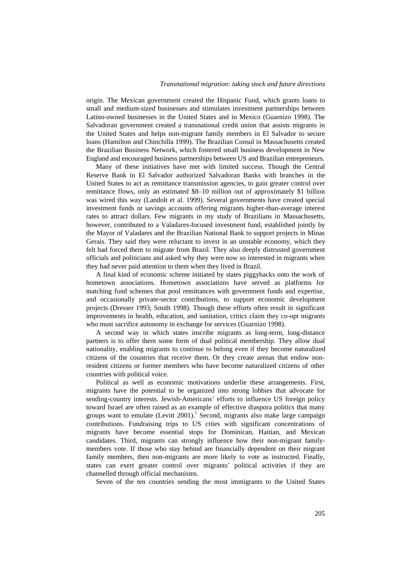origin. The Mexican government created the Hispanic Fund, which grants loans to small and medium-sized businesses and stimulates investment partnerships between Latino-owned businesses in the United States and in Mexico (Guarnizo 1998). The Salvadoran government created a transnational credit union that assists migrants in the United States and helps non-migrant family members in El Salvador to secure loans (Hamilton and Chinchilla 1999). The Brazilian Consul in Massachusetts created the Brazilian Business Network, which fostered small business development in New England and encouraged business partnerships between US and Brazilian entrepreneurs.

Many of these initiatives have met with limited success. Though the Central Reserve Bank in El Salvador authorized Salvadoran Banks with branches in the United States to act as remittance transmission agencies, to gain greater control over remittance flows, only an estimated \$8–10 million out of approximately \$1 billion was wired this way (Landolt et al. 1999). Several governments have created special investment funds or savings accounts offering migrants higher-than-average interest rates to attract dollars. Few migrants in my study of Brazilians in Massachusetts, however, contributed to a Valadares-focused investment fund, established jointly by the Mayor of Valadares and the Brazilian National Bank to support projects in Minas Gerais. They said they were reluctant to invest in an unstable economy, which they felt had forced them to migrate from Brazil. They also deeply distrusted government officials and politicians and asked why they were now so interested in migrants when they had never paid attention to them when they lived in Brazil.

A final kind of economic scheme initiated by states piggybacks onto the work of hometown associations. Hometown associations have served as platforms for matching fund schemes that pool remittances with government funds and expertise, and occasionally private-sector contributions, to support economic development projects (Dresser 1993; Smith 1998). Though these efforts often result in significant improvements in health, education, and sanitation, critics claim they co-opt migrants who must sacrifice autonomy in exchange for services (Guarnizo 1998).

A second way in which states inscribe migrants as long-term, long-distance partners is to offer them some form of dual political membership. They allow dual nationality, enabling migrants to continue to belong even if they become naturalized citizens of the countries that receive them. Or they create arenas that endow nonresident citizens or former members who have become naturalized citizens of other countries with political voice.

Political as well as economic motivations underlie these arrangements. First, migrants have the potential to be organized into strong lobbies that advocate for sending-country interests. Jewish-Americans' efforts to influence US foreign policy toward Israel are often raised as an example of effective diaspora politics that many groups want to emulate (Levitt 2001).<sup>5</sup> Second, migrants also make large campaign contributions. Fundraising trips to US cities with significant concentrations of migrants have become essential stops for Dominican, Haitian, and Mexican candidates. Third, migrants can strongly influence how their non-migrant familymembers vote. If those who stay behind are financially dependent on their migrant family members, then non-migrants are more likely to vote as instructed. Finally, states can exert greater control over migrants' political activities if they are channelled through official mechanisms.

Seven of the ten countries sending the most immigrants to the United States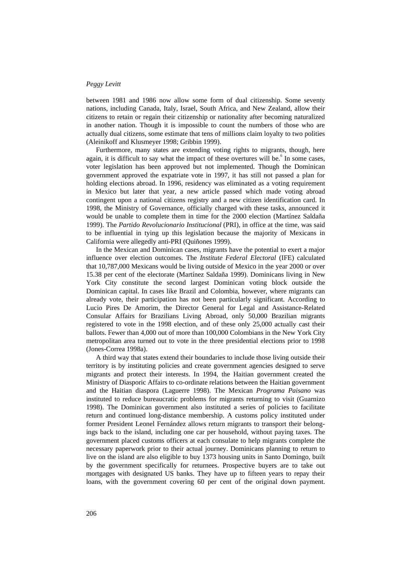between 1981 and 1986 now allow some form of dual citizenship. Some seventy nations, including Canada, Italy, Israel, South Africa, and New Zealand, allow their citizens to retain or regain their citizenship or nationality after becoming naturalized in another nation. Though it is impossible to count the numbers of those who are actually dual citizens, some estimate that tens of millions claim loyalty to two polities (Aleinikoff and Klusmeyer 1998; Gribbin 1999).

Furthermore, many states are extending voting rights to migrants, though, here again, it is difficult to say what the impact of these overtures will be.<sup>6</sup> In some cases, voter legislation has been approved but not implemented. Though the Dominican government approved the expatriate vote in 1997, it has still not passed a plan for holding elections abroad. In 1996, residency was eliminated as a voting requirement in Mexico but later that year, a new article passed which made voting abroad contingent upon a national citizens registry and a new citizen identification card. In 1998, the Ministry of Governance, officially charged with these tasks, announced it would be unable to complete them in time for the 2000 election (Martínez Saldaña 1999). The *Partido Revolucionario Institucional* (PRI), in office at the time, was said to be influential in tying up this legislation because the majority of Mexicans in California were allegedly anti-PRI (Quiñones 1999).

In the Mexican and Dominican cases, migrants have the potential to exert a major influence over election outcomes. The *Institute Federal Electoral* (IFE) calculated that 10,787,000 Mexicans would be living outside of Mexico in the year 2000 or over 15.38 per cent of the electorate (Martínez Saldaña 1999). Dominicans living in New York City constitute the second largest Dominican voting block outside the Dominican capital. In cases like Brazil and Colombia, however, where migrants can already vote, their participation has not been particularly significant. According to Lucio Pires De Amorim, the Director General for Legal and Assistance-Related Consular Affairs for Brazilians Living Abroad, only 50,000 Brazilian migrants registered to vote in the 1998 election, and of these only 25,000 actually cast their ballots. Fewer than 4,000 out of more than 100,000 Colombians in the New York City metropolitan area turned out to vote in the three presidential elections prior to 1998 (Jones-Correa 1998a).

A third way that states extend their boundaries to include those living outside their territory is by instituting policies and create government agencies designed to serve migrants and protect their interests. In 1994, the Haitian government created the Ministry of Diasporic Affairs to co-ordinate relations between the Haitian government and the Haitian diaspora (Laguerre 1998). The Mexican *Programa Paisano* was instituted to reduce bureaucratic problems for migrants returning to visit (Guarnizo 1998). The Dominican government also instituted a series of policies to facilitate return and continued long-distance membership. A customs policy instituted under former President Leonel Fernández allows return migrants to transport their belongings back to the island, including one car per household, without paying taxes. The government placed customs officers at each consulate to help migrants complete the necessary paperwork prior to their actual journey. Dominicans planning to return to live on the island are also eligible to buy 1373 housing units in Santo Domingo, built by the government specifically for returnees. Prospective buyers are to take out mortgages with designated US banks. They have up to fifteen years to repay their loans, with the government covering 60 per cent of the original down payment.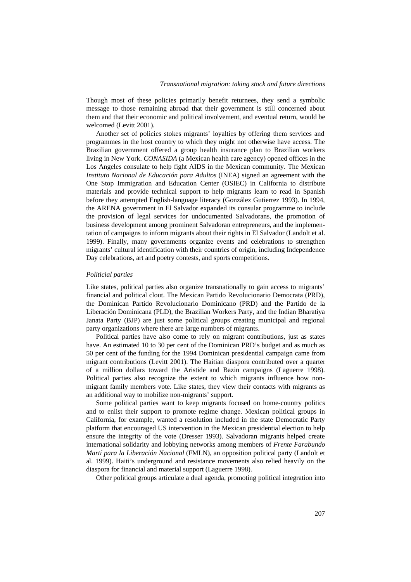Though most of these policies primarily benefit returnees, they send a symbolic message to those remaining abroad that their government is still concerned about them and that their economic and political involvement, and eventual return, would be welcomed (Levitt 2001).

Another set of policies stokes migrants' loyalties by offering them services and programmes in the host country to which they might not otherwise have access. The Brazilian government offered a group health insurance plan to Brazilian workers living in New York. *CONASIDA* (a Mexican health care agency) opened offices in the Los Angeles consulate to help fight AIDS in the Mexican community. The Mexican *Instituto Nacional de Educación para Adultos* (INEA) signed an agreement with the One Stop Immigration and Education Center (OSIEC) in California to distribute materials and provide technical support to help migrants learn to read in Spanish before they attempted English-language literacy (González Gutierrez 1993). In 1994, the ARENA government in El Salvador expanded its consular programme to include the provision of legal services for undocumented Salvadorans, the promotion of business development among prominent Salvadoran entrepreneurs, and the implementation of campaigns to inform migrants about their rights in El Salvador (Landolt et al. 1999). Finally, many governments organize events and celebrations to strengthen migrants' cultural identification with their countries of origin, including Independence Day celebrations, art and poetry contests, and sports competitions.

#### *Politicial parties*

Like states, political parties also organize transnationally to gain access to migrants' financial and political clout. The Mexican Partido Revolucionario Democrata (PRD), the Dominican Partido Revolucionario Dominicano (PRD) and the Partido de la Liberación Dominicana (PLD), the Brazilian Workers Party, and the Indian Bharatiya Janata Party (BJP) are just some political groups creating municipal and regional party organizations where there are large numbers of migrants.

Political parties have also come to rely on migrant contributions, just as states have. An estimated 10 to 30 per cent of the Dominican PRD's budget and as much as 50 per cent of the funding for the 1994 Dominican presidential campaign came from migrant contributions (Levitt 2001). The Haitian diaspora contributed over a quarter of a million dollars toward the Aristide and Bazin campaigns (Laguerre 1998). Political parties also recognize the extent to which migrants influence how nonmigrant family members vote. Like states, they view their contacts with migrants as an additional way to mobilize non-migrants' support.

Some political parties want to keep migrants focused on home-country politics and to enlist their support to promote regime change. Mexican political groups in California, for example, wanted a resolution included in the state Democratic Party platform that encouraged US intervention in the Mexican presidential election to help ensure the integrity of the vote (Dresser 1993). Salvadoran migrants helped create international solidarity and lobbying networks among members of *Frente Farabundo Martí para la Liberación Nacional* (FMLN), an opposition political party (Landolt et al. 1999). Haiti's underground and resistance movements also relied heavily on the diaspora for financial and material support (Laguerre 1998).

Other political groups articulate a dual agenda, promoting political integration into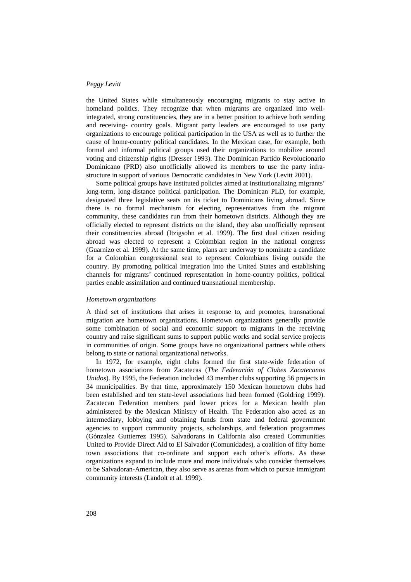the United States while simultaneously encouraging migrants to stay active in homeland politics. They recognize that when migrants are organized into wellintegrated, strong constituencies, they are in a better position to achieve both sending and receiving- country goals. Migrant party leaders are encouraged to use party organizations to encourage political participation in the USA as well as to further the cause of home-country political candidates. In the Mexican case, for example, both formal and informal political groups used their organizations to mobilize around voting and citizenship rights (Dresser 1993). The Dominican Partido Revolucionario Dominicano (PRD) also unofficially allowed its members to use the party infrastructure in support of various Democratic candidates in New York (Levitt 2001).

Some political groups have instituted policies aimed at institutionalizing migrants' long-term, long-distance political participation. The Dominican PLD, for example, designated three legislative seats on its ticket to Dominicans living abroad. Since there is no formal mechanism for electing representatives from the migrant community, these candidates run from their hometown districts. Although they are officially elected to represent districts on the island, they also unofficially represent their constituencies abroad (Itzigsohn et al. 1999). The first dual citizen residing abroad was elected to represent a Colombian region in the national congress (Guarnizo et al. 1999). At the same time, plans are underway to nominate a candidate for a Colombian congressional seat to represent Colombians living outside the country. By promoting political integration into the United States and establishing channels for migrants' continued representation in home-country politics, political parties enable assimilation and continued transnational membership.

## *Hometown organizations*

A third set of institutions that arises in response to, and promotes, transnational migration are hometown organizations. Hometown organizations generally provide some combination of social and economic support to migrants in the receiving country and raise significant sums to support public works and social service projects in communities of origin. Some groups have no organizational partners while others belong to state or national organizational networks.

In 1972, for example, eight clubs formed the first state-wide federation of hometown associations from Zacatecas (*The Federación of Clubes Zacatecanos Unidos*). By 1995, the Federation included 43 member clubs supporting 56 projects in 34 municipalities. By that time, approximately 150 Mexican hometown clubs had been established and ten state-level associations had been formed (Goldring 1999). Zacatecan Federation members paid lower prices for a Mexican health plan administered by the Mexican Ministry of Health. The Federation also acted as an intermediary, lobbying and obtaining funds from state and federal government agencies to support community projects, scholarships, and federation programmes (Gónzalez Guttierrez 1995). Salvadorans in California also created Communities United to Provide Direct Aid to El Salvador (Comunidades), a coalition of fifty home town associations that co-ordinate and support each other's efforts. As these organizations expand to include more and more individuals who consider themselves to be Salvadoran-American, they also serve as arenas from which to pursue immigrant community interests (Landolt et al. 1999).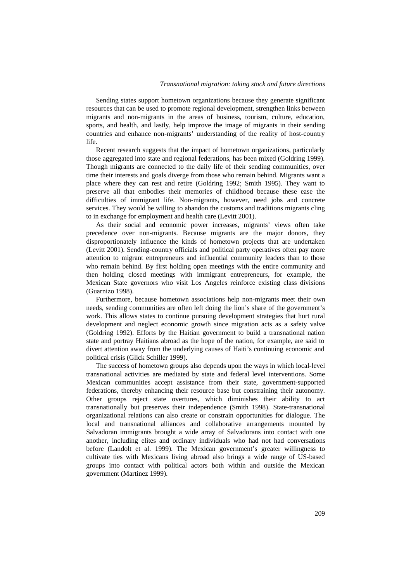Sending states support hometown organizations because they generate significant resources that can be used to promote regional development, strengthen links between migrants and non-migrants in the areas of business, tourism, culture, education, sports, and health, and lastly, help improve the image of migrants in their sending countries and enhance non-migrants' understanding of the reality of host-country life.

Recent research suggests that the impact of hometown organizations, particularly those aggregated into state and regional federations, has been mixed (Goldring 1999). Though migrants are connected to the daily life of their sending communities, over time their interests and goals diverge from those who remain behind. Migrants want a place where they can rest and retire (Goldring 1992; Smith 1995). They want to preserve all that embodies their memories of childhood because these ease the difficulties of immigrant life. Non-migrants, however, need jobs and concrete services. They would be willing to abandon the customs and traditions migrants cling to in exchange for employment and health care (Levitt 2001).

As their social and economic power increases, migrants' views often take precedence over non-migrants. Because migrants are the major donors, they disproportionately influence the kinds of hometown projects that are undertaken (Levitt 2001). Sending-country officials and political party operatives often pay more attention to migrant entrepreneurs and influential community leaders than to those who remain behind. By first holding open meetings with the entire community and then holding closed meetings with immigrant entrepreneurs, for example, the Mexican State governors who visit Los Angeles reinforce existing class divisions (Guarnizo 1998).

Furthermore, because hometown associations help non-migrants meet their own needs, sending communities are often left doing the lion's share of the government's work. This allows states to continue pursuing development strategies that hurt rural development and neglect economic growth since migration acts as a safety valve (Goldring 1992). Efforts by the Haitian government to build a transnational nation state and portray Haitians abroad as the hope of the nation, for example, are said to divert attention away from the underlying causes of Haiti's continuing economic and political crisis (Glick Schiller 1999).

The success of hometown groups also depends upon the ways in which local-level transnational activities are mediated by state and federal level interventions. Some Mexican communities accept assistance from their state, government-supported federations, thereby enhancing their resource base but constraining their autonomy. Other groups reject state overtures, which diminishes their ability to act transnationally but preserves their independence (Smith 1998). State-transnational organizational relations can also create or constrain opportunities for dialogue. The local and transnational alliances and collaborative arrangements mounted by Salvadoran immigrants brought a wide array of Salvadorans into contact with one another, including elites and ordinary individuals who had not had conversations before (Landolt et al. 1999). The Mexican government's greater willingness to cultivate ties with Mexicans living abroad also brings a wide range of US-based groups into contact with political actors both within and outside the Mexican government (Martinez 1999).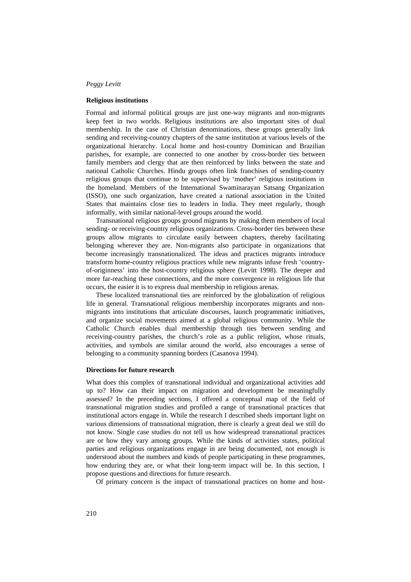#### **Religious institutions**

Formal and informal political groups are just one-way migrants and non-migrants keep feet in two worlds. Religious institutions are also important sites of dual membership. In the case of Christian denominations, these groups generally link sending and receiving-country chapters of the same institution at various levels of the organizational hierarchy. Local home and host-country Dominican and Brazilian parishes, for example, are connected to one another by cross-border ties between family members and clergy that are then reinforced by links between the state and national Catholic Churches. Hindu groups often link franchises of sending-country religious groups that continue to be supervised by 'mother' religious institutions in the homeland. Members of the International Swaminarayan Satsang Organization (ISSO), one such organization, have created a national association in the United States that maintains close ties to leaders in India. They meet regularly, though informally, with similar national-level groups around the world.

Transnational religious groups ground migrants by making them members of local sending- or receiving-country religious organizations. Cross-border ties between these groups allow migrants to circulate easily between chapters, thereby facilitating belonging wherever they are. Non-migrants also participate in organizations that become increasingly transnationalized. The ideas and practices migrants introduce transform home-country religious practices while new migrants infuse fresh 'countryof-originness' into the host-country religious sphere (Levitt 1998). The deeper and more far-reaching these connections, and the more convergence in religious life that occurs, the easier it is to express dual membership in religious arenas.

These localized transnational ties are reinforced by the globalization of religious life in general. Transnational religious membership incorporates migrants and nonmigrants into institutions that articulate discourses, launch programmatic initiatives, and organize social movements aimed at a global religious community. While the Catholic Church enables dual membership through ties between sending and receiving-country parishes, the church's role as a public religion, whose rituals, activities, and symbols are similar around the world, also encourages a sense of belonging to a community spanning borders (Casanova 1994).

#### **Directions for future research**

What does this complex of transnational individual and organizational activities add up to? How can their impact on migration and development be meaningfully assessed? In the preceding sections, I offered a conceptual map of the field of transnational migration studies and profiled a range of transnational practices that institutional actors engage in. While the research I described sheds important light on various dimensions of transnational migration, there is clearly a great deal we still do not know. Single case studies do not tell us how widespread transnational practices are or how they vary among groups. While the kinds of activities states, political parties and religious organizations engage in are being documented, not enough is understood about the numbers and kinds of people participating in these programmes, how enduring they are, or what their long-term impact will be. In this section, I propose questions and directions for future research.

Of primary concern is the impact of transnational practices on home and host-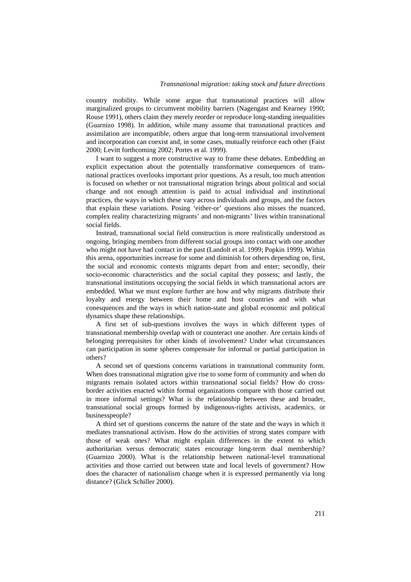country mobility. While some argue that transnational practices will allow marginalized groups to circumvent mobility barriers (Nagengast and Kearney 1990; Rouse 1991), others claim they merely reorder or reproduce long-standing inequalities (Guarnizo 1998). In addition, while many assume that transnational practices and assimilation are incompatible, others argue that long-term transnational involvement and incorporation can coexist and, in some cases, mutually reinforce each other (Faist 2000; Levitt forthcoming 2002; Portes et al. 1999).

I want to suggest a more constructive way to frame these debates. Embedding an explicit expectation about the potentially transformative consequences of transnational practices overlooks important prior questions. As a result, too much attention is focused on whether or not transnational migration brings about political and social change and not enough attention is paid to actual individual and institutional practices, the ways in which these vary across individuals and groups, and the factors that explain these variations. Posing 'either-or' questions also misses the nuanced, complex reality characterizing migrants' and non-migrants' lives within transnational social fields.

Instead, transnational social field construction is more realistically understood as ongoing, bringing members from different social groups into contact with one another who might not have had contact in the past (Landolt et al. 1999; Popkin 1999). Within this arena, opportunities increase for some and diminish for others depending on, first, the social and economic contexts migrants depart from and enter; secondly, their socio-economic characteristics and the social capital they possess; and lastly, the transnational institutions occupying the social fields in which transnational actors are embedded. What we must explore further are how and why migrants distribute their loyalty and energy between their home and host countries and with what conesquences and the ways in which nation-state and global economic and political dynamics shape these relationships.

A first set of sub-questions involves the ways in which different types of transnational membership overlap with or counteract one another. Are certain kinds of belonging prerequisites for other kinds of involvement? Under what circumstances can participation in some spheres compensate for informal or partial participation in others?

A second set of questions concerns variations in transnational community form. When does transnational migration give rise to some form of community and when do migrants remain isolated actors within transnational social fields? How do crossborder activities enacted within formal organizations compare with those carried out in more informal settings? What is the relationship between these and broader, transnational social groups formed by indigenous-rights activists, academics, or businesspeople?

A third set of questions concerns the nature of the state and the ways in which it mediates transnational activism. How do the activities of strong states compare with those of weak ones? What might explain differences in the extent to which authoritarian versus democratic states encourage long-term dual membership? (Guarnizo 2000). What is the relationship between national-level transnational activities and those carried out between state and local levels of government? How does the character of nationalism change when it is expressed permanently via long distance? (Glick Schiller 2000).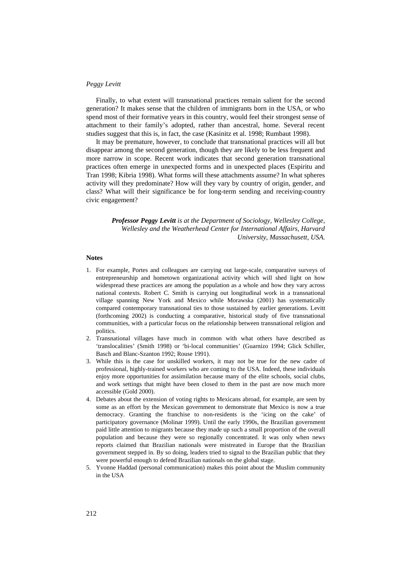Finally, to what extent will transnational practices remain salient for the second generation? It makes sense that the children of immigrants born in the USA, or who spend most of their formative years in this country, would feel their strongest sense of attachment to their family's adopted, rather than ancestral, home. Several recent studies suggest that this is, in fact, the case (Kasinitz et al. 1998; Rumbaut 1998).

It may be premature, however, to conclude that transnational practices will all but disappear among the second generation, though they are likely to be less frequent and more narrow in scope. Recent work indicates that second generation transnational practices often emerge in unexpected forms and in unexpected places (Espiritu and Tran 1998; Kibria 1998). What forms will these attachments assume? In what spheres activity will they predominate? How will they vary by country of origin, gender, and class? What will their significance be for long-term sending and receiving-country civic engagement?

> *Professor Peggy Levitt is at the Department of Sociology, Wellesley College, Wellesley and the Weatherhead Center for International Affairs, Harvard University, Massachusett, USA.*

## **Notes**

- 1. For example, Portes and colleagues are carrying out large-scale, comparative surveys of entrepreneurship and hometown organizational activity which will shed light on how widespread these practices are among the population as a whole and how they vary across national contexts. Robert C. Smith is carrying out longitudinal work in a transnational village spanning New York and Mexico while Morawska (2001) has systematically compared contemporary transnational ties to those sustained by earlier generations. Levitt (forthcoming 2002) is conducting a comparative, historical study of five transnational communities, with a particular focus on the relationship between transnational religion and politics.
- 2. Transnational villages have much in common with what others have described as 'translocalities' (Smith 1998) or 'bi-local communities' (Guarnizo 1994; Glick Schiller, Basch and Blanc-Szanton 1992; Rouse 1991).
- 3. While this is the case for unskilled workers, it may not be true for the new cadre of professional, highly-trained workers who are coming to the USA. Indeed, these individuals enjoy more opportunities for assimilation because many of the elite schools, social clubs, and work settings that might have been closed to them in the past are now much more accessible (Gold 2000).
- 4. Debates about the extension of voting rights to Mexicans abroad, for example, are seen by some as an effort by the Mexican government to demonstrate that Mexico is now a true democracy. Granting the franchise to non-residents is the 'icing on the cake' of participatory governance (Molinar 1999). Until the early 1990s, the Brazilian government paid little attention to migrants because they made up such a small proportion of the overall population and because they were so regionally concentrated. It was only when news reports claimed that Brazilian nationals were mistreated in Europe that the Brazilian government stepped in. By so doing, leaders tried to signal to the Brazilian public that they were powerful enough to defend Brazilian nationals on the global stage.
- 5. Yvonne Haddad (personal communication) makes this point about the Muslim community in the USA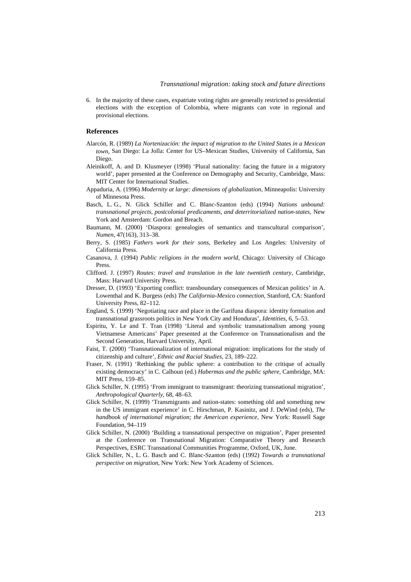6. In the majority of these cases, expatriate voting rights are generally restricted to presidential elections with the exception of Colombia, where migrants can vote in regional and provisional elections.

# **References**

- Alarcón, R. (1989) *La Nortenización: the impact of migration to the United States in a Mexican town,* San Diego: La Jolla: Center for US–Mexican Studies, University of California, San Diego.
- Aleinikoff, A. and D. Klusmeyer (1998) 'Plural nationality: facing the future in a migratory world', paper presented at the Conference on Demography and Security, Cambridge, Mass: MIT Center for International Studies.
- Appaduria, A. (1996) *Modernity at large: dimensions of globalization*, Minneapolis: University of Minnesota Press.
- Basch, L. G., N. Glick Schiller and C. Blanc-Szanton (eds) (1994) *Nations unbound: transnational projects, postcolonial predicaments, and deterritorialized nation-states,* New York and Amsterdam: Gordon and Breach.
- Baumann, M. (2000) 'Diaspora: genealogies of semantics and transcultural comparison', *Numen,* 47(163), 313–38.
- Berry, S. (1985) *Fathers work for their sons*, Berkeley and Los Angeles: University of California Press.
- Casanova, J. (1994) *Public religions in the modern world*, Chicago: University of Chicago Press.
- Clifford. J. (1997) *Routes: travel and translation in the late twentieth century*, Cambridge, Mass: Harvard University Press.
- Dresser, D. (1993) 'Exporting conflict: transboundary consequences of Mexican politics' in A. Lowenthal and K. Burgess (eds) *The California-Mexico connection,* Stanford, CA: Stanford University Press, 82–112.
- England, S. (1999) 'Negotiating race and place in the Garifuna diaspora: identity formation and transnational grassroots politics in New York City and Honduras', *Identities*, 6, 5–53.
- Espiritu, Y. Le and T. Tran (1998) 'Literal and symbolic transnationalism among young Vietnamese Americans' Paper presented at the Conference on Transnationalism and the Second Generation, Harvard University, April.
- Faist, T. (2000) 'Transnationalization of international migration: implications for the study of citizenship and culture', *Ethnic and Racial Studies,* 23, 189–222.
- Fraser, N. (1991) 'Rethinking the public sphere: a contribution to the critique of actually existing democracy' in C. Calhoun (ed.) *Habermas and the public sphere,* Cambridge, MA: MIT Press, 159–85.
- Glick Schiller, N. (1995) 'From immigrant to transmigrant: theorizing transnational migration', *Anthropological Quarterly*, 68, 48–63.
- Glick Schiller, N. (1999) 'Transmigrants and nation-states: something old and something new in the US immigrant experience' in C. Hirschman, P. Kasinitz, and J. DeWind (eds), *The handbook of international migration; the American experience,* New York: Russell Sage Foundation, 94–119
- Glick Schiller, N. (2000) 'Building a transnational perspective on migration', Paper presented at the Conference on Transnational Migration: Comparative Theory and Research Perspectives, ESRC Transnational Communities Programme, Oxford, UK, June.
- Glick Schiller, N., L. G. Basch and C. Blanc-Szanton (eds) (1992) *Towards a transnational perspective on migration*, New York: New York Academy of Sciences.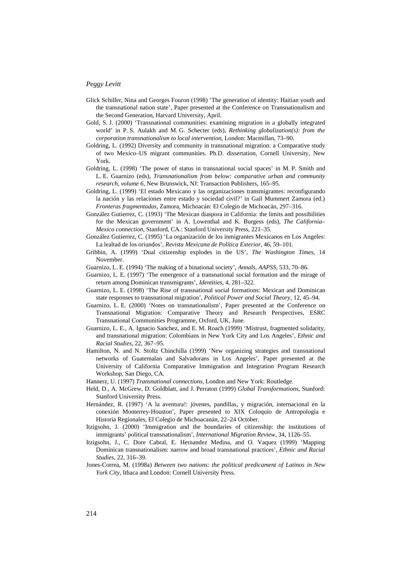- Glick Schiller, Nina and Georges Fouron (1998) 'The generation of identity: Haitian youth and the transnational nation state', Paper presented at the Conference on Transnationalism and the Second Generation, Harvard University, April.
- Gold, S. J. (2000) 'Transnational communities: examining migration in a globally integrated world' in P. S. Aulakh and M. G. Schecter (eds), *Rethinking globalization(s): from the corporation transnationalism to local intervention*, London: Macmillan, 73–90.
- Goldring, L. (1992) Diversity and community in transnational migration: a Comparative study of two Mexico–US migrant communities. Ph.D. dissertation, Cornell University, New York.
- Goldring, L. (1998) 'The power of status in transnational social spaces' in M. P. Smith and L. E. Guarnizo (eds), *Transnationalism from below: comparative urban and community research, volume 6*, New Brunswick, NJ: Transaction Publishers, 165–95.
- Goldring, L. (1999) 'El estado Mexicano y las organizaciones transmigrantes: reconfigurando la nación y las relaciones entre estado y sociedad civil?' in Gail Mummert Zamora (ed.) *Fronteras fragmentadas*, Zamora, Michoacán: El Colegio de Michoacán, 297–316.
- González Gutierrez, C. (1993) 'The Mexican diaspora in California: the limits and possibilities for the Mexican government' in A. Lowenthal and K. Burgess (eds), *The California– Mexico connection,* Stanford, CA.: Stanford University Press, 221–35.
- González Gutierrez, C. (1995) 'La organización de los inmigrantes Mexicanos en Los Angeles: La lealtad de los oriundos', *Revista Mexicana de Política Exterior*, 46, 59–101.
- Gribbin, A. (1999) 'Dual citizenship explodes in the US', *The Washington Times,* 14 November.
- Guarnizo, L. E. (1994) 'The making of a binational society', *Annals, AAPSS,* 533, 70–86.
- Guarnizo, L. E. (1997) 'The emergence of a transnational social formation and the mirage of return among Dominican transmigrants', *Identities*, 4, 281–322.
- Guarnizo, L. E. (1998) 'The Rise of transnational social formations: Mexican and Dominican state responses to transnational migration', *Political Power and Social Theory*, 12, 45–94.
- Guarnizo, L. E. (2000) 'Notes on transnationalism', Paper presented at the Conference on Transnational Migration: Comparative Theory and Research Perspectives, ESRC Transnational Communities Programme, Oxford, UK, June.
- Guarnizo, L. E., A. Ignacio Sanchez, and E. M. Roach (1999) 'Mistrust, fragmented solidarity, and transnational migration: Colombians in New York City and Los Angeles', *Ethnic and Racial Studies*, 22, 367–95.
- Hamilton, N. and N. Stoltz Chinchilla (1999) 'New organizing strategies and transnational networks of Guatemalan and Salvadorans in Los Angeles', Paper presented at the University of California Comparative Immigration and Integration Program Research Workshop, San Diego, CA.
- Hannerz, U. (1997) *Transnational connections*, London and New York: Routledge.
- Held, D., A. McGrew, D. Goldblatt, and J. Perraton (1999) *Global Transformations*, Stanford: Stanford University Press.
- Hernández, R. (1997) 'A la aventura!: jóvenes, pandillas, y migración, internacional en la conexión Monterrey-Houston', Paper presented to XIX Coloquio de Antropología e Historia Regionales, El Colegio de Michoacanán, 22–24 October.
- Itzigsohn, J. (2000) 'Immigration and the boundaries of citizenship: the institutions of immigrants' political transnationalism', *International Migration Review*, 34, 1126–55.
- Itzigsohn, J., C. Dore Cabral, E. Hernandez Medina, and O. Vaquez (1999) 'Mapping Dominican transnationalism: narrow and broad transnational practices', *Ethnic and Racial Studies*, 22, 316–39.
- Jones-Correa, M. (1998a) *Between two nations: the political predicament of Latinos in New York City*, Ithaca and London: Cornell University Press.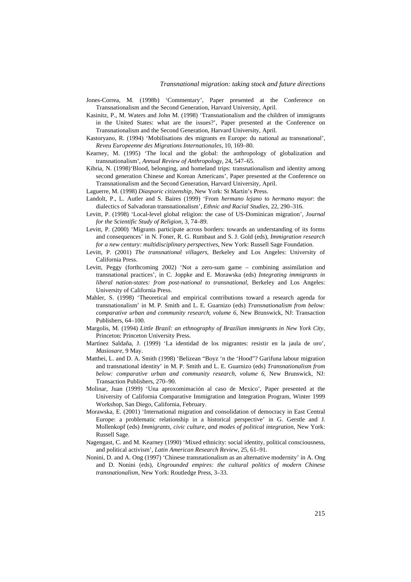- Jones-Correa, M. (1998b) 'Commentary', Paper presented at the Conference on Transnationalism and the Second Generation, Harvard University, April.
- Kasinitz, P., M. Waters and John M. (1998) 'Transnationalism and the children of immigrants in the United States: what are the issues?', Paper presented at the Conference on Transnationalism and the Second Generation, Harvard University, April.
- Kastoryano, R. (1994) 'Mobilisations des migrants en Europe: du national au transnational', *Reveu Europeenne des Migrations Internationales,* 10, 169–80.
- Kearney, M. (1995) 'The local and the global: the anthropology of globalization and transnationalism', *Annual Review of Anthropology,* 24, 547–65.
- Kibria, N. (1998)'Blood, belonging, and homeland trips: transnationalism and identity among second generation Chinese and Korean Americans', Paper presented at the Conference on Transnationalism and the Second Generation, Harvard University, April.
- Laguerre, M. (1998) *Diasporic citizenship*, New York: St Martin's Press.
- Landolt, P., L. Autler and S. Baires (1999) 'From *hermano lejano* to *hermano mayor*: the dialectics of Salvadoran transnationalism', *Ethnic and Racial Studies*, 22, 290–316.
- Levitt, P. (1998) 'Local-level global religion: the case of US-Dominican migration', *Journal for the Scientific Study of Religion*, 3, 74–89.
- Levitt, P. (2000) 'Migrants participate across borders: towards an understanding of its forms and consequences' in N. Foner, R. G. Rumbaut and S. J. Gold (eds), *Immigration research for a new century: multidisciplinary perspectives*, New York: Russell Sage Foundation.
- Levitt, P. (2001) *The transnational villagers*, Berkeley and Los Angeles: University of California Press.
- Levitt, Peggy (forthcoming 2002) 'Not a zero-sum game combining assimilation and transnational practices', in C. Joppke and E. Morawska (eds) *Integrating immigrants in liberal nation-states: from post-national to transnational*, Berkeley and Los Angeles: University of California Press.
- Mahler, S. (1998) 'Theoretical and empirical contributions toward a research agenda for transnationalism' in M. P. Smith and L. E. Guarnizo (eds) *Transnationalism from below: comparative urban and community research*, *volume 6*, New Brunswick, NJ: Transaction Publishers, 64–100.
- Margolis, M. (1994) *Little Brazil: an ethnography of Brazilian immigrants in New York City*, Princeton: Princeton University Press.
- Martínez Saldaña, J. (1999) 'La identidad de los migrantes: resistir en la jaula de oro', *Masiosare*, 9 May.
- Matthei, L. and D. A. Smith (1998) 'Belizean "Boyz 'n the 'Hood"? Garifuna labour migration and transnational identity' in M. P. Smith and L. E. Guarnizo (eds) *Transnationalism from below: comparative urban and community research, volume 6*, New Brunswick, NJ: Transaction Publishers, 270–90.
- Molinar, Juan (1999) 'Una aproxomimación al caso de Mexico', Paper presented at the University of California Comparative Immigration and Integration Program, Winter 1999 Workshop, San Diego, California, February.
- Morawska, E. (2001) 'International migration and consolidation of democracy in East Central Europe: a problematic relationship in a historical perspective' in G. Gerstle and J. Mollenkopf (eds) *Immigrants, civic culture, and modes of political integration*, New York: Russell Sage.
- Nagengast, C. and M. Kearney (1990) 'Mixed ethnicity: social identity, political consciousness, and political activism', *Latin American Research Review*, 25, 61–91.
- Nonini, D. and A. Ong (1997) 'Chinese transnationalism as an alternative modernity' in A. Ong and D. Nonini (eds), *Ungrounded empires: the cultural politics of modern Chinese transnationalism*, New York: Routledge Press, 3–33.